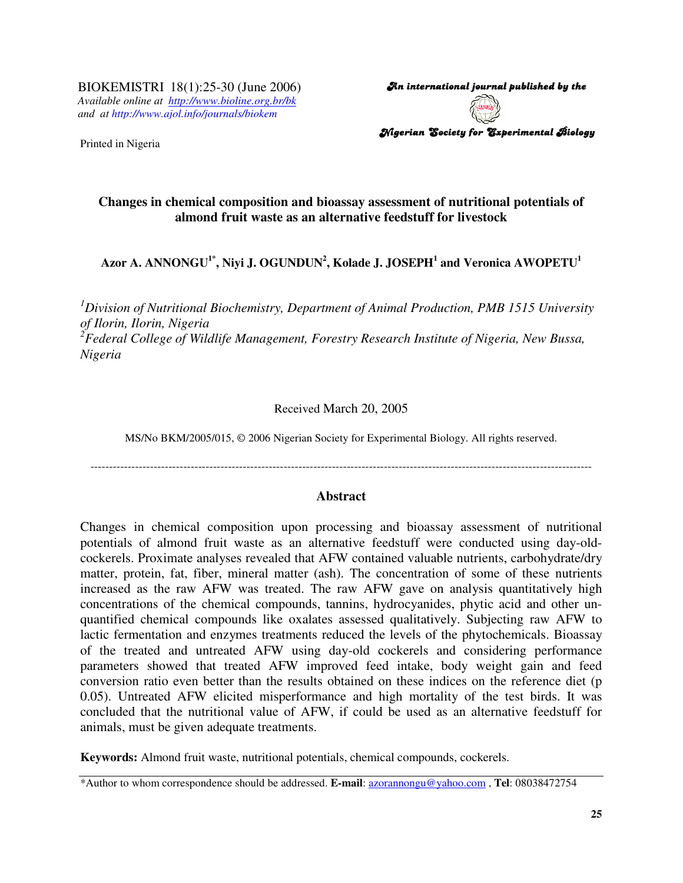BIOKEMISTRI 18(1):25-30 (June 2006) *Available online at http://www.bioline.org.br/bk and at http://www.ajol.info/journals/biokem*

An international journal published by the  $\,$ Nigerian Society for Experimental Biology

Printed in Nigeria

# **Changes in chemical composition and bioassay assessment of nutritional potentials of almond fruit waste as an alternative feedstuff for livestock**

**Azor A. ANNONGU 1\* , Niyi J. OGUNDUN 2 , Kolade J. JOSEPH 1 and Veronica AWOPETU 1**

*<sup>1</sup>Division of Nutritional Biochemistry, Department of Animal Production, PMB 1515 University of Ilorin, Ilorin, Nigeria 2 Federal College of Wildlife Management, Forestry Research Institute of Nigeria, New Bussa, Nigeria*

Received March 20, 2005

MS/No BKM/2005/015, © 2006 Nigerian Society for Experimental Biology. All rights reserved.

---------------------------------------------------------------------------------------------------------------------------------------

#### **Abstract**

Changes in chemical composition upon processing and bioassay assessment of nutritional potentials of almond fruit waste as an alternative feedstuff were conducted using day-oldcockerels. Proximate analyses revealed that AFW contained valuable nutrients, carbohydrate/dry matter, protein, fat, fiber, mineral matter (ash). The concentration of some of these nutrients increased as the raw AFW was treated. The raw AFW gave on analysis quantitatively high concentrations of the chemical compounds, tannins, hydrocyanides, phytic acid and other unquantified chemical compounds like oxalates assessed qualitatively. Subjecting raw AFW to lactic fermentation and enzymes treatments reduced the levels of the phytochemicals. Bioassay of the treated and untreated AFW using day-old cockerels and considering performance parameters showed that treated AFW improved feed intake, body weight gain and feed conversion ratio even better than the results obtained on these indices on the reference diet (p 0.05). Untreated AFW elicited misperformance and high mortality of the test birds. It was concluded that the nutritional value of AFW, if could be used as an alternative feedstuff for animals, must be given adequate treatments.

**Keywords:** Almond fruit waste, nutritional potentials, chemical compounds, cockerels.

<sup>\*</sup>Author to whom correspondence should be addressed. **E-mail**: azorannongu@yahoo.com , **Tel**: 08038472754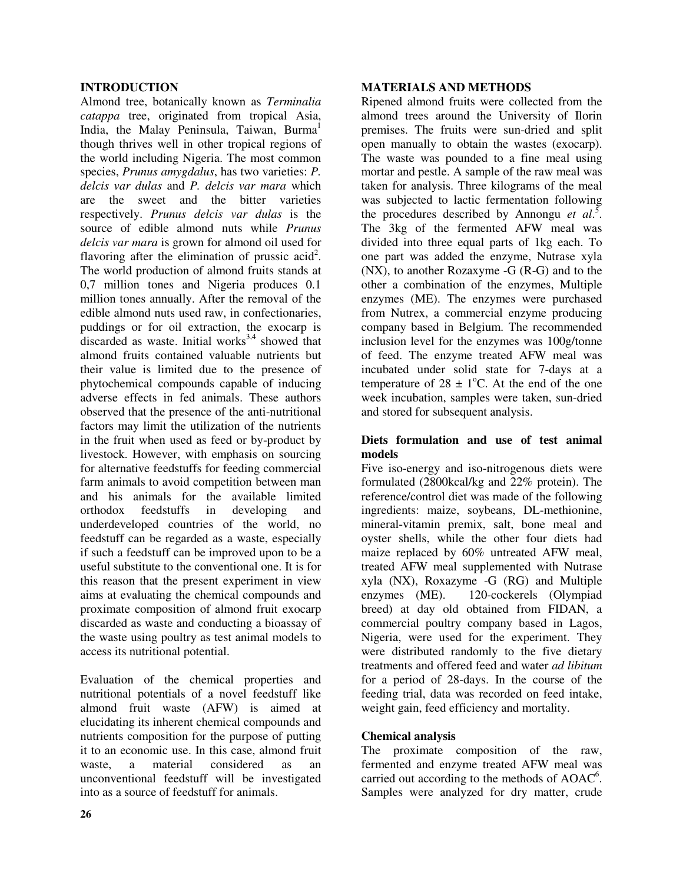#### **INTRODUCTION**

Almond tree, botanically known as *Terminalia catappa* tree, originated from tropical Asia, India, the Malay Peninsula, Taiwan, Burma<sup>1</sup> though thrives well in other tropical regions of the world including Nigeria. The most common species, *Prunus amygdalus*, has two varieties: *P. delcis var dulas* and *P. delcis var mara* which are the sweet and the bitter varieties respectively. *Prunus delcis var dulas* is the source of edible almond nuts while *Prunus delcis var mara* is grown for almond oil used for flavoring after the elimination of prussic  $\text{acid}^2$ . The world production of almond fruits stands at 0,7 million tones and Nigeria produces 0.1 million tones annually. After the removal of the edible almond nuts used raw, in confectionaries, puddings or for oil extraction, the exocarp is discarded as waste. Initial works<sup>3,4</sup> showed that almond fruits contained valuable nutrients but their value is limited due to the presence of phytochemical compounds capable of inducing adverse effects in fed animals. These authors observed that the presence of the anti-nutritional factors may limit the utilization of the nutrients in the fruit when used as feed or by-product by livestock. However, with emphasis on sourcing for alternative feedstuffs for feeding commercial farm animals to avoid competition between man and his animals for the available limited orthodox feedstuffs in developing and underdeveloped countries of the world, no feedstuff can be regarded as a waste, especially if such a feedstuff can be improved upon to be a useful substitute to the conventional one. It is for this reason that the present experiment in view aims at evaluating the chemical compounds and proximate composition of almond fruit exocarp discarded as waste and conducting a bioassay of the waste using poultry as test animal models to access its nutritional potential.

Evaluation of the chemical properties and nutritional potentials of a novel feedstuff like almond fruit waste (AFW) is aimed at elucidating its inherent chemical compounds and nutrients composition for the purpose of putting it to an economic use. In this case, almond fruit waste, a material considered as an unconventional feedstuff will be investigated into as a source of feedstuff for animals.

#### **MATERIALS AND METHODS**

Ripened almond fruits were collected from the almond trees around the University of Ilorin premises. The fruits were sun-dried and split open manually to obtain the wastes (exocarp). The waste was pounded to a fine meal using mortar and pestle. A sample of the raw meal was taken for analysis. Three kilograms of the meal was subjected to lactic fermentation following the procedures described by Annongu *et al*. 5 . The 3kg of the fermented AFW meal was divided into three equal parts of 1kg each. To one part was added the enzyme, Nutrase xyla (NX), to another Rozaxyme -G (R-G) and to the other a combination of the enzymes, Multiple enzymes (ME). The enzymes were purchased from Nutrex, a commercial enzyme producing company based in Belgium. The recommended inclusion level for the enzymes was 100g/tonne of feed. The enzyme treated AFW meal was incubated under solid state for 7-days at a temperature of  $28 \pm 1$ °C. At the end of the one week incubation, samples were taken, sun-dried and stored for subsequent analysis.

## **Diets formulation and use of test animal models**

Five iso-energy and iso-nitrogenous diets were formulated (2800kcal/kg and 22% protein). The reference/control diet was made of the following ingredients: maize, soybeans, DL-methionine, mineral-vitamin premix, salt, bone meal and oyster shells, while the other four diets had maize replaced by 60% untreated AFW meal, treated AFW meal supplemented with Nutrase xyla (NX), Roxazyme -G (RG) and Multiple enzymes (ME). 120-cockerels (Olympiad breed) at day old obtained from FIDAN, a commercial poultry company based in Lagos, Nigeria, were used for the experiment. They were distributed randomly to the five dietary treatments and offered feed and water *ad libitum* for a period of 28-days. In the course of the feeding trial, data was recorded on feed intake, weight gain, feed efficiency and mortality.

### **Chemical analysis**

The proximate composition of the raw, fermented and enzyme treated AFW meal was carried out according to the methods of AOAC<sup>6</sup>. Samples were analyzed for dry matter, crude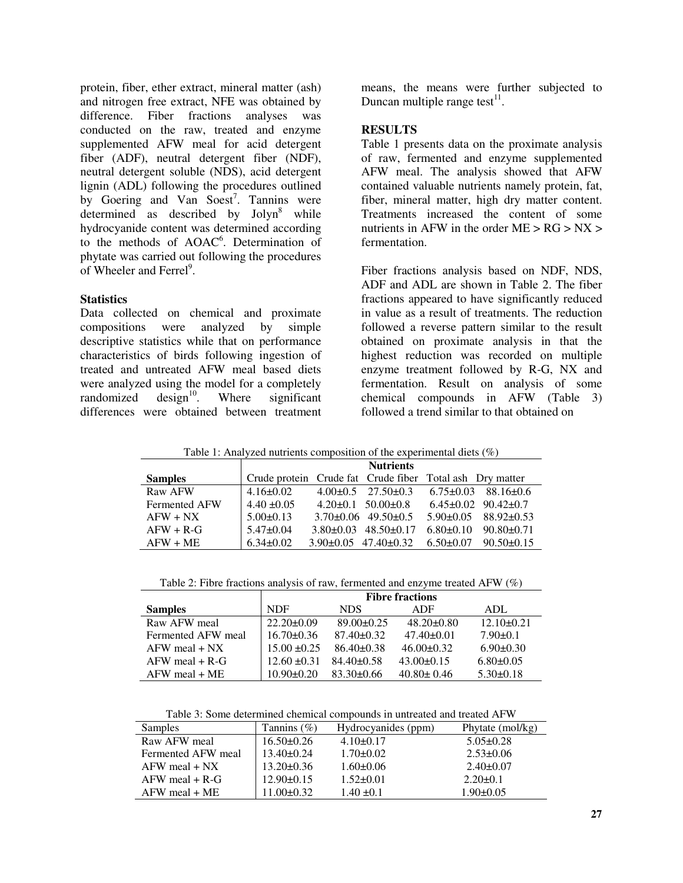protein, fiber, ether extract, mineral matter (ash) and nitrogen free extract, NFE was obtained by difference. Fiber fractions analyses was conducted on the raw, treated and enzyme supplemented AFW meal for acid detergent fiber (ADF), neutral detergent fiber (NDF), neutral detergent soluble (NDS), acid detergent lignin (ADL) following the procedures outlined by Goering and Van Soest<sup>7</sup>. Tannins were determined as described by Jolyn<sup>8</sup> while hydrocyanide content was determined according to the methods of AOAC 6 . Determination of phytate was carried out following the procedures of Wheeler and Ferrel<sup>9</sup>.

#### **Statistics**

Data collected on chemical and proximate compositions were analyzed by simple descriptive statistics while that on performance characteristics of birds following ingestion of treated and untreated AFW meal based diets were analyzed using the model for a completely randomized  $\text{design}^{10}$ . . Where significant differences were obtained between treatment

means, the means were further subjected to Duncan multiple range test $^{11}$ .

### **RESULTS**

Table 1 presents data on the proximate analysis of raw, fermented and enzyme supplemented AFW meal. The analysis showed that AFW contained valuable nutrients namely protein, fat, fiber, mineral matter, high dry matter content. Treatments increased the content of some nutrients in AFW in the order  $ME > RG > NX >$ fermentation.

Fiber fractions analysis based on NDF, NDS, ADF and ADL are shown in Table 2. The fiber fractions appeared to have significantly reduced in value as a result of treatments. The reduction followed a reverse pattern similar to the result obtained on proximate analysis in that the highest reduction was recorded on multiple enzyme treatment followed by R-G, NX and fermentation. Result on analysis of some chemical compounds in AFW (Table 3) followed a trend similar to that obtained on

Table 1: Analyzed nutrients composition of the experimental diets  $(\%)$ 

|                      |                                                          | <b>Nutrients</b>             |                               |                              |
|----------------------|----------------------------------------------------------|------------------------------|-------------------------------|------------------------------|
| <b>Samples</b>       | Crude protein Crude fat Crude fiber Total ash Dry matter |                              |                               |                              |
| Raw AFW              | $4.16\pm0.02$                                            | $4.00\pm0.5$ $27.50\pm0.3$   | $6.75 \pm 0.03$               | $88.16\pm0.6$                |
| <b>Fermented AFW</b> | $4.40 \pm 0.05$                                          | $4.20\pm0.1$ 50.00 $\pm0.8$  | $6.45\pm0.02$ 90.42 $\pm$ 0.7 |                              |
| $AFW + NX$           | $5.00 \pm 0.13$                                          | $3.70\pm0.06$ 49.50 $\pm0.5$ |                               | $5.90\pm0.05$ $88.92\pm0.53$ |
| $AFW + R - G$        | $5.47\pm0.04$                                            | $3.80\pm0.03$ $48.50\pm0.17$ | $6.80 + 0.10$                 | $90.80 \pm 0.71$             |
| $AFW + ME$           | $6.34 \pm 0.02$                                          | $3.90\pm0.05$ $47.40\pm0.32$ | $6.50 \pm 0.07$               | $90.50\pm0.15$               |

Table 2: Fibre fractions analysis of raw, fermented and enzyme treated AFW (%)

|                    | <b>Fibre fractions</b> |                  |                  |                 |  |
|--------------------|------------------------|------------------|------------------|-----------------|--|
| <b>Samples</b>     | <b>NDF</b>             | NDS.             | ADF              | ADL.            |  |
| Raw AFW meal       | $22.20\pm0.09$         | $89.00 \pm 0.25$ | $48.20 \pm 0.80$ | $12.10\pm0.21$  |  |
| Fermented AFW meal | $16.70\pm0.36$         | $87.40 \pm 0.32$ | $47.40\pm0.01$   | $7.90 \pm 0.1$  |  |
| $AFW$ meal + NX    | $15.00 \pm 0.25$       | $86.40 + 0.38$   | $46.00 \pm 0.32$ | $6.90 \pm 0.30$ |  |
| $AFW$ meal + R-G   | $12.60 \pm 0.31$       | $84.40 \pm 0.58$ | $43.00\pm0.15$   | $6.80\pm0.05$   |  |
| $AFW$ meal + ME    | $10.90 \pm 0.20$       | $83.30 + 0.66$   | $40.80 \pm 0.46$ | $5.30 \pm 0.18$ |  |

Table 3: Some determined chemical compounds in untreated and treated AFW

| Samples            | Tannins $(\% )$  | Hydrocyanides (ppm) | Phytate (mol/kg) |
|--------------------|------------------|---------------------|------------------|
| Raw AFW meal       | $16.50\pm0.26$   | $4.10\pm0.17$       | $5.05 \pm 0.28$  |
| Fermented AFW meal | $13.40\pm0.24$   | $1.70 \pm 0.02$     | $2.53 \pm 0.06$  |
| $AFW$ meal + NX    | $13.20\pm0.36$   | $1.60 \pm 0.06$     | $2.40\pm0.07$    |
| $AFW$ meal + R-G   | $12.90 \pm 0.15$ | $1.52 \pm 0.01$     | $2.20 \pm 0.1$   |
| $AFW$ meal $+ME$   | 11.00±0.32       | $1.40 \pm 0.1$      | $1.90 \pm 0.05$  |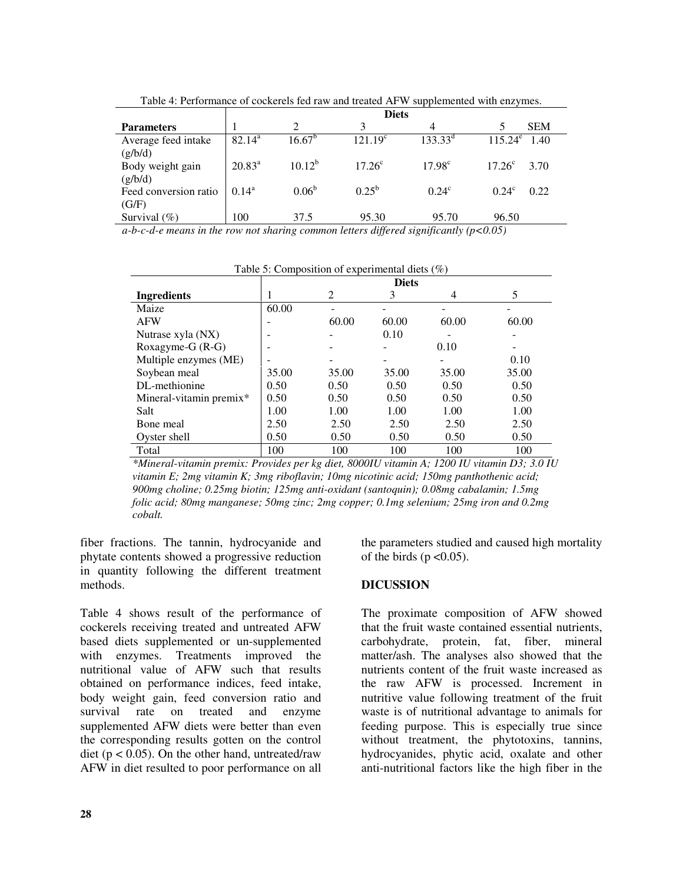|                       | <b>Diets</b> |                |                 |                 |                         |  |
|-----------------------|--------------|----------------|-----------------|-----------------|-------------------------|--|
| <b>Parameters</b>     |              | 2              |                 | 4               | <b>SEM</b>              |  |
| Average feed intake   | $82.14^a$    | $16.67^b$      | $121.19^c$      | $133.33^{d}$    | $115.24^e$<br>1.40      |  |
| (g/b/d)               |              |                |                 |                 |                         |  |
| Body weight gain      | $20.83^a$    | $10.12^{b}$    | $17.26^{\circ}$ | $17.98^{\circ}$ | $17.26^{\circ}$<br>3.70 |  |
| (g/b/d)               |              |                |                 |                 |                         |  |
| Feed conversion ratio | $0.14^a$     | $0.06^{\rm b}$ | $0.25^{b}$      | $0.24^{\circ}$  | $0.24^{\circ}$<br>0.22  |  |
| (G/F)                 |              |                |                 |                 |                         |  |
| Survival $(\%)$       | 100          | 37.5           | 95.30           | 95.70           | 96.50                   |  |

Table 4: Performance of cockerels fed raw and treated AFW supplemented with enzymes.

*a-b-c-d-e means in the row not sharing common letters differed significantly (p<0.05)*

| Table 5: Composition of experimental diets $(\%)$ |              |       |       |       |       |  |
|---------------------------------------------------|--------------|-------|-------|-------|-------|--|
|                                                   | <b>Diets</b> |       |       |       |       |  |
| <b>Ingredients</b>                                |              | 2     | 3     | 4     | 5     |  |
| Maize                                             | 60.00        |       |       |       |       |  |
| <b>AFW</b>                                        | -            | 60.00 | 60.00 | 60.00 | 60.00 |  |
| Nutrase xyla (NX)                                 | -            |       | 0.10  |       |       |  |
| Roxagyme-G $(R-G)$                                | ۰            |       |       | 0.10  |       |  |
| Multiple enzymes (ME)                             | ۰            |       |       |       | 0.10  |  |
| Soybean meal                                      | 35.00        | 35.00 | 35.00 | 35.00 | 35.00 |  |
| DL-methionine                                     | 0.50         | 0.50  | 0.50  | 0.50  | 0.50  |  |
| Mineral-vitamin premix*                           | 0.50         | 0.50  | 0.50  | 0.50  | 0.50  |  |
| Salt                                              | 1.00         | 1.00  | 1.00  | 1.00  | 1.00  |  |
| Bone meal                                         | 2.50         | 2.50  | 2.50  | 2.50  | 2.50  |  |
| Oyster shell                                      | 0.50         | 0.50  | 0.50  | 0.50  | 0.50  |  |
| Total                                             | 100          | 100   | 100   | 100   | 100   |  |

*\*Mineral-vitamin premix: Provides per kg diet, 8000IU vitamin A; 1200 IU vitamin D3; 3.0 IU vitamin E; 2mg vitamin K; 3mg riboflavin; 10mg nicotinic acid; 150mg panthothenic acid; 900mg choline; 0.25mg biotin; 125mg anti-oxidant (santoquin); 0.08mg cabalamin; 1.5mg folic acid; 80mg manganese; 50mg zinc; 2mg copper; 0.1mg selenium; 25mg iron and 0.2mg cobalt.*

fiber fractions. The tannin, hydrocyanide and phytate contents showed a progressive reduction in quantity following the different treatment methods.

Table 4 shows result of the performance of cockerels receiving treated and untreated AFW based diets supplemented or un-supplemented with enzymes. Treatments improved the nutritional value of AFW such that results obtained on performance indices, feed intake, body weight gain, feed conversion ratio and survival rate on treated and enzyme supplemented AFW diets were better than even the corresponding results gotten on the control diet ( $p < 0.05$ ). On the other hand, untreated/raw AFW in diet resulted to poor performance on all

the parameters studied and caused high mortality of the birds ( $p < 0.05$ ).

#### **DICUSSION**

The proximate composition of AFW showed that the fruit waste contained essential nutrients, carbohydrate, protein, fat, fiber, mineral matter/ash. The analyses also showed that the nutrients content of the fruit waste increased as the raw AFW is processed. Increment in nutritive value following treatment of the fruit waste is of nutritional advantage to animals for feeding purpose. This is especially true since without treatment, the phytotoxins, tannins, hydrocyanides, phytic acid, oxalate and other anti-nutritional factors like the high fiber in the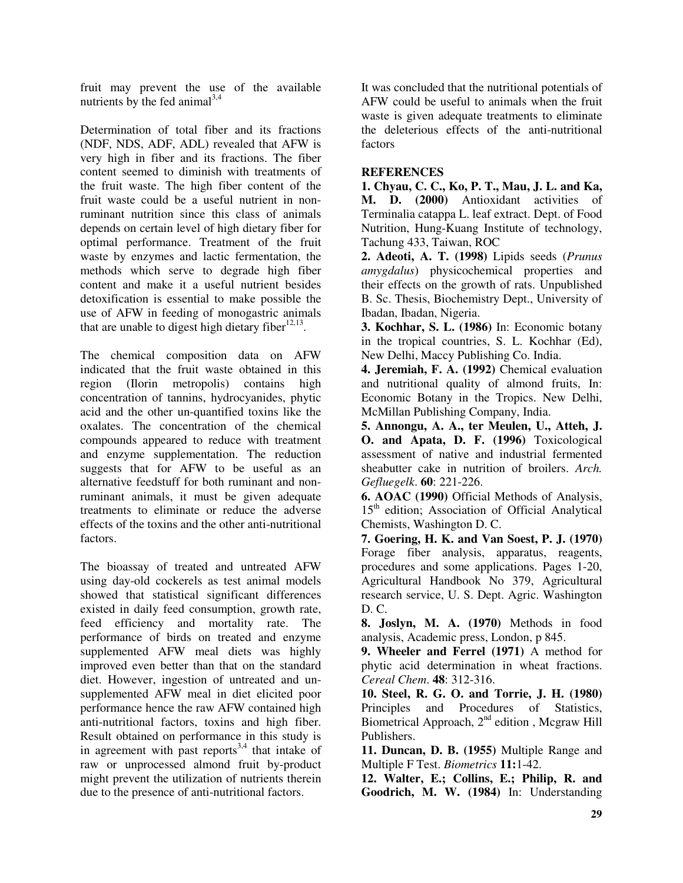fruit may prevent the use of the available nutrients by the fed animal<sup>3,4</sup>

Determination of total fiber and its fractions (NDF, NDS, ADF, ADL) revealed that AFW is very high in fiber and its fractions. The fiber content seemed to diminish with treatments of the fruit waste. The high fiber content of the fruit waste could be a useful nutrient in nonruminant nutrition since this class of animals depends on certain level of high dietary fiber for optimal performance. Treatment of the fruit waste by enzymes and lactic fermentation, the methods which serve to degrade high fiber content and make it a useful nutrient besides detoxification is essential to make possible the use of AFW in feeding of monogastric animals that are unable to digest high dietary fiber $12,13$ .

The chemical composition data on AFW indicated that the fruit waste obtained in this region (Ilorin metropolis) contains high concentration of tannins, hydrocyanides, phytic acid and the other un-quantified toxins like the oxalates. The concentration of the chemical compounds appeared to reduce with treatment and enzyme supplementation. The reduction suggests that for AFW to be useful as an alternative feedstuff for both ruminant and nonruminant animals, it must be given adequate treatments to eliminate or reduce the adverse effects of the toxins and the other anti-nutritional factors.

The bioassay of treated and untreated AFW using day-old cockerels as test animal models showed that statistical significant differences existed in daily feed consumption, growth rate, feed efficiency and mortality rate. The performance of birds on treated and enzyme supplemented AFW meal diets was highly improved even better than that on the standard diet. However, ingestion of untreated and unsupplemented AFW meal in diet elicited poor performance hence the raw AFW contained high anti-nutritional factors, toxins and high fiber. Result obtained on performance in this study is in agreement with past reports $3,4$  that intake of raw or unprocessed almond fruit by-product might prevent the utilization of nutrients therein due to the presence of anti-nutritional factors.

It was concluded that the nutritional potentials of AFW could be useful to animals when the fruit waste is given adequate treatments to eliminate the deleterious effects of the anti-nutritional factors

### **REFERENCES**

**1. Chyau, C. C., Ko, P. T., Mau, J. L. and Ka, M. D. (2000)** Antioxidant activities of Terminalia catappa L. leaf extract. Dept. of Food Nutrition, Hung-Kuang Institute of technology, Tachung 433, Taiwan, ROC

**2. Adeoti, A. T. (1998)** Lipids seeds (*Prunus amygdalus*) physicochemical properties and their effects on the growth of rats. Unpublished B. Sc. Thesis, Biochemistry Dept., University of Ibadan, Ibadan, Nigeria.

**3. Kochhar, S. L. (1986)** In: Economic botany in the tropical countries, S. L. Kochhar (Ed), New Delhi, Maccy Publishing Co. India.

**4. Jeremiah, F. A. (1992)** Chemical evaluation and nutritional quality of almond fruits, In: Economic Botany in the Tropics. New Delhi, McMillan Publishing Company, India.

**5. Annongu, A. A., ter Meulen, U., Atteh, J. O. and Apata, D. F. (1996)** Toxicological assessment of native and industrial fermented sheabutter cake in nutrition of broilers. *Arch. Gefluegelk*. **60**: 221-226.

**6. AOAC (1990)** Official Methods of Analysis, 15<sup>th</sup> edition; Association of Official Analytical Chemists, Washington D. C.

**7. Goering, H. K. and Van Soest, P. J. (1970)** Forage fiber analysis, apparatus, reagents, procedures and some applications. Pages 1-20, Agricultural Handbook No 379, Agricultural research service, U. S. Dept. Agric. Washington D. C.

**8. Joslyn, M. A. (1970)** Methods in food analysis, Academic press, London, p 845.

**9. Wheeler and Ferrel (1971)** A method for phytic acid determination in wheat fractions. *Cereal Chem*. **48**: 312-316.

**10. Steel, R. G. O. and Torrie, J. H. (1980)** Principles and Procedures of Statistics, Biometrical Approach, 2<sup>nd</sup> edition, Mcgraw Hill Publishers.

**11. Duncan, D. B. (1955)** Multiple Range and Multiple F Test. *Biometrics* **11:**1-42.

**12. Walter, E.; Collins, E.; Philip, R. and Goodrich, M. W. (1984)** In: Understanding